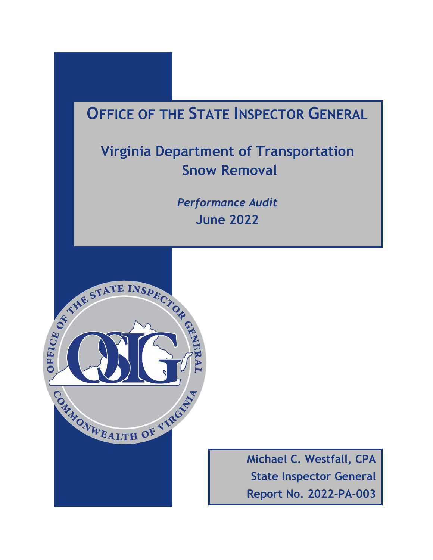# **OFFICE OF THE STATE INSPECTOR GENERAL**

# **Virginia Department of Transportation Snow Removal**

*Performance Audit* **June 2022**



**Michael C. Westfall, CPA State Inspector General Report No. 2022-PA-003**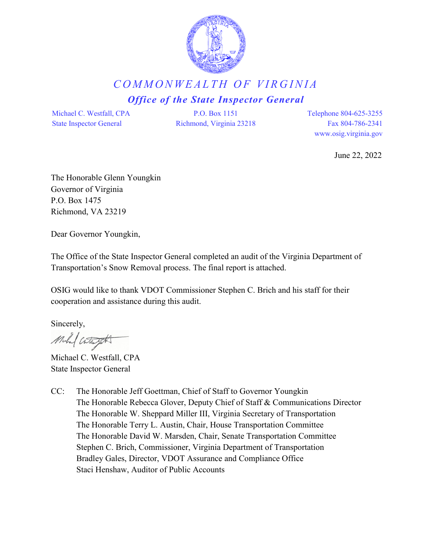

### *COMMONWEALTH OF VIRGINIA Office of the State Inspector General*

Michael C. Westfall, CPA State Inspector General

P.O. Box 1151 Richmond, Virginia 23218 Telephone 804-625-3255 Fax 804-786-2341 www.osig.virginia.gov

June 22, 2022

The Honorable Glenn Youngkin Governor of Virginia P.O. Box 1475 Richmond, VA 23219

Dear Governor Youngkin,

The Office of the State Inspector General completed an audit of the Virginia Department of Transportation's Snow Removal process. The final report is attached.

OSIG would like to thank VDOT Commissioner Stephen C. Brich and his staff for their cooperation and assistance during this audit.

Sincerely,

Mula ( Cota Jott

Michael C. Westfall, CPA State Inspector General

CC: The Honorable Jeff Goettman, Chief of Staff to Governor Youngkin The Honorable Rebecca Glover, Deputy Chief of Staff & Communications Director The Honorable W. Sheppard Miller III, Virginia Secretary of Transportation The Honorable Terry L. Austin, Chair, House Transportation Committee The Honorable David W. Marsden, Chair, Senate Transportation Committee Stephen C. Brich, Commissioner, Virginia Department of Transportation Bradley Gales, Director, VDOT Assurance and Compliance Office Staci Henshaw, Auditor of Public Accounts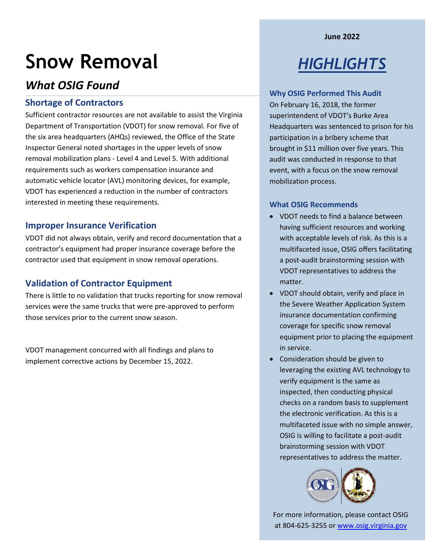**June 2022**

# **Snow Removal**

### *What OSIG Found*

#### **Shortage of Contractors**

Sufficient contractor resources are not available to assist the Virginia Department of Transportation (VDOT) for snow removal. For five of the six area headquarters (AHQs) reviewed, the Office of the State Inspector General noted shortages in the upper levels of snow removal mobilization plans - Level 4 and Level 5. With additional requirements such as workers compensation insurance and automatic vehicle locator (AVL) monitoring devices, for example, VDOT has experienced a reduction in the number of contractors interested in meeting these requirements.

#### **Improper Insurance Verification**

VDOT did not always obtain, verify and record documentation that a contractor's equipment had proper insurance coverage before the contractor used that equipment in snow removal operations.

#### **Validation of Contractor Equipment**

There is little to no validation that trucks reporting for snow removal services were the same trucks that were pre-approved to perform those services prior to the current snow season.

VDOT management concurred with all findings and plans to implement corrective actions by December 15, 2022.

# *HIGHLIGHTS*

#### **Why OSIG Performed This Audit**

On February 16, 2018, the former superintendent of VDOT's Burke Area Headquarters was sentenced to prison for his participation in a bribery scheme that brought in \$11 million over five years. This audit was conducted in response to that event, with a focus on the snow removal mobilization process.

#### **What OSIG Recommends**

- VDOT needs to find a balance between having sufficient resources and working with acceptable levels of risk. As this is a multifaceted issue, OSIG offers facilitating a post-audit brainstorming session with VDOT representatives to address the matter.
- VDOT should obtain, verify and place in the Severe Weather Application System insurance documentation confirming coverage for specific snow removal equipment prior to placing the equipment in service.
- Consideration should be given to leveraging the existing AVL technology to verify equipment is the same as inspected, then conducting physical checks on a random basis to supplement the electronic verification. As this is a multifaceted issue with no simple answer, OSIG is willing to facilitate a post-audit brainstorming session with VDOT representatives to address the matter.



For more information, please contact OSIG at 804-625-3255 or [www.osig.virginia.gov](http://www.osig.virginia.gov/)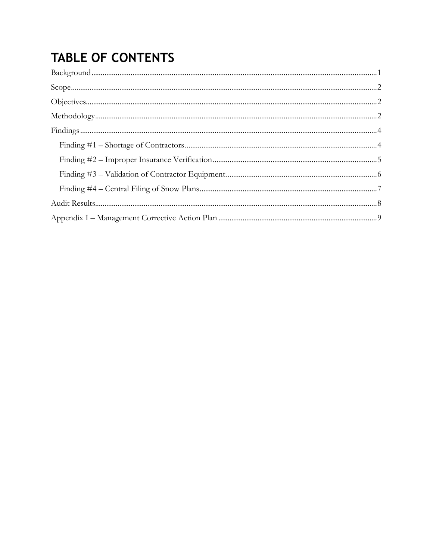# **TABLE OF CONTENTS**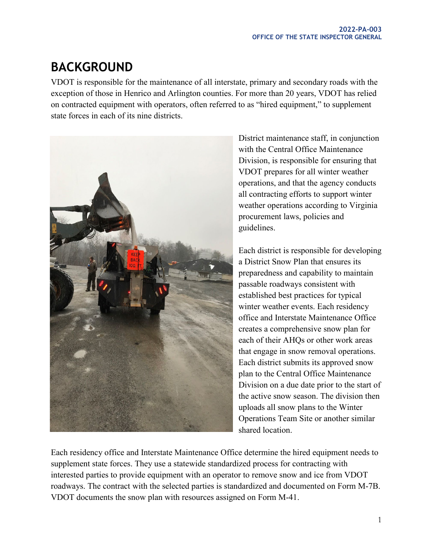# <span id="page-4-0"></span>**BACKGROUND**

VDOT is responsible for the maintenance of all interstate, primary and secondary roads with the exception of those in Henrico and Arlington counties. For more than 20 years, VDOT has relied on contracted equipment with operators, often referred to as "hired equipment," to supplement state forces in each of its nine districts.



District maintenance staff, in conjunction with the Central Office Maintenance Division, is responsible for ensuring that VDOT prepares for all winter weather operations, and that the agency conducts all contracting efforts to support winter weather operations according to Virginia procurement laws, policies and guidelines.

Each district is responsible for developing a District Snow Plan that ensures its preparedness and capability to maintain passable roadways consistent with established best practices for typical winter weather events. Each residency office and Interstate Maintenance Office creates a comprehensive snow plan for each of their AHQs or other work areas that engage in snow removal operations. Each district submits its approved snow plan to the Central Office Maintenance Division on a due date prior to the start of the active snow season. The division then uploads all snow plans to the Winter Operations Team Site or another similar shared location.

Each residency office and Interstate Maintenance Office determine the hired equipment needs to supplement state forces. They use a statewide standardized process for contracting with interested parties to provide equipment with an operator to remove snow and ice from VDOT roadways. The contract with the selected parties is standardized and documented on Form M-7B. VDOT documents the snow plan with resources assigned on Form M-41.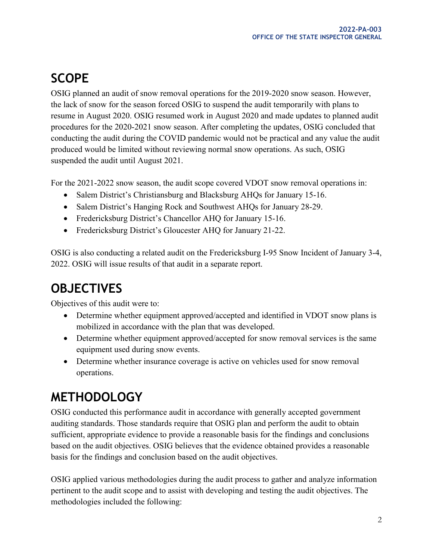## <span id="page-5-0"></span>**SCOPE**

OSIG planned an audit of snow removal operations for the 2019-2020 snow season. However, the lack of snow for the season forced OSIG to suspend the audit temporarily with plans to resume in August 2020. OSIG resumed work in August 2020 and made updates to planned audit procedures for the 2020-2021 snow season. After completing the updates, OSIG concluded that conducting the audit during the COVID pandemic would not be practical and any value the audit produced would be limited without reviewing normal snow operations. As such, OSIG suspended the audit until August 2021.

For the 2021-2022 snow season, the audit scope covered VDOT snow removal operations in:

- Salem District's Christiansburg and Blacksburg AHQs for January 15-16.
- Salem District's Hanging Rock and Southwest AHQs for January 28-29.
- Fredericksburg District's Chancellor AHQ for January 15-16.
- Fredericksburg District's Gloucester AHQ for January 21-22.

OSIG is also conducting a related audit on the Fredericksburg I-95 Snow Incident of January 3-4, 2022. OSIG will issue results of that audit in a separate report.

## <span id="page-5-1"></span>**OBJECTIVES**

Objectives of this audit were to:

- Determine whether equipment approved/accepted and identified in VDOT snow plans is mobilized in accordance with the plan that was developed.
- Determine whether equipment approved/accepted for snow removal services is the same equipment used during snow events.
- Determine whether insurance coverage is active on vehicles used for snow removal operations.

### <span id="page-5-2"></span>**METHODOLOGY**

OSIG conducted this performance audit in accordance with generally accepted government auditing standards. Those standards require that OSIG plan and perform the audit to obtain sufficient, appropriate evidence to provide a reasonable basis for the findings and conclusions based on the audit objectives. OSIG believes that the evidence obtained provides a reasonable basis for the findings and conclusion based on the audit objectives.

OSIG applied various methodologies during the audit process to gather and analyze information pertinent to the audit scope and to assist with developing and testing the audit objectives. The methodologies included the following: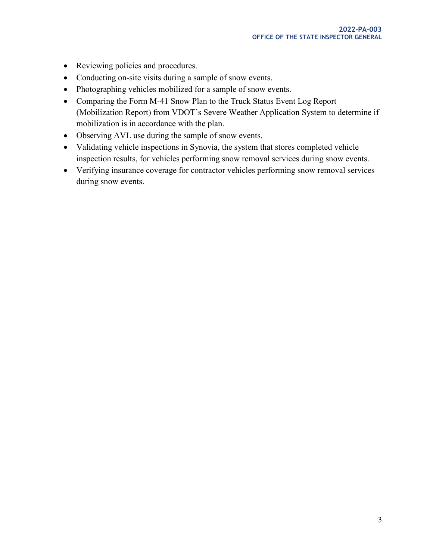- Reviewing policies and procedures.
- Conducting on-site visits during a sample of snow events.
- Photographing vehicles mobilized for a sample of snow events.
- Comparing the Form M-41 Snow Plan to the Truck Status Event Log Report (Mobilization Report) from VDOT's Severe Weather Application System to determine if mobilization is in accordance with the plan.
- Observing AVL use during the sample of snow events.
- Validating vehicle inspections in Synovia, the system that stores completed vehicle inspection results, for vehicles performing snow removal services during snow events.
- Verifying insurance coverage for contractor vehicles performing snow removal services during snow events.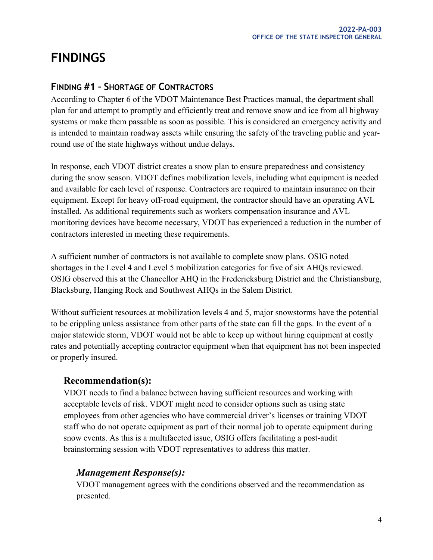## <span id="page-7-0"></span>**FINDINGS**

#### <span id="page-7-1"></span>**FINDING #1 – SHORTAGE OF CONTRACTORS**

According to Chapter 6 of the VDOT Maintenance Best Practices manual, the department shall plan for and attempt to promptly and efficiently treat and remove snow and ice from all highway systems or make them passable as soon as possible. This is considered an emergency activity and is intended to maintain roadway assets while ensuring the safety of the traveling public and yearround use of the state highways without undue delays.

In response, each VDOT district creates a snow plan to ensure preparedness and consistency during the snow season. VDOT defines mobilization levels, including what equipment is needed and available for each level of response. Contractors are required to maintain insurance on their equipment. Except for heavy off-road equipment, the contractor should have an operating AVL installed. As additional requirements such as workers compensation insurance and AVL monitoring devices have become necessary, VDOT has experienced a reduction in the number of contractors interested in meeting these requirements.

A sufficient number of contractors is not available to complete snow plans. OSIG noted shortages in the Level 4 and Level 5 mobilization categories for five of six AHQs reviewed. OSIG observed this at the Chancellor AHQ in the Fredericksburg District and the Christiansburg, Blacksburg, Hanging Rock and Southwest AHQs in the Salem District.

Without sufficient resources at mobilization levels 4 and 5, major snowstorms have the potential to be crippling unless assistance from other parts of the state can fill the gaps. In the event of a major statewide storm, VDOT would not be able to keep up without hiring equipment at costly rates and potentially accepting contractor equipment when that equipment has not been inspected or properly insured.

#### **Recommendation(s):**

VDOT needs to find a balance between having sufficient resources and working with acceptable levels of risk. VDOT might need to consider options such as using state employees from other agencies who have commercial driver's licenses or training VDOT staff who do not operate equipment as part of their normal job to operate equipment during snow events. As this is a multifaceted issue, OSIG offers facilitating a post-audit brainstorming session with VDOT representatives to address this matter.

#### *Management Response(s):*

VDOT management agrees with the conditions observed and the recommendation as presented.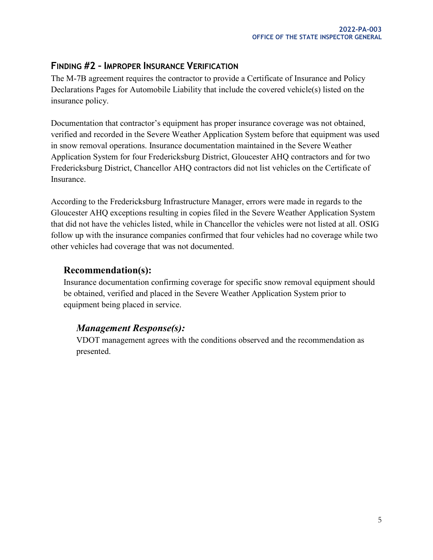#### <span id="page-8-0"></span>**FINDING #2 – IMPROPER INSURANCE VERIFICATION**

The M-7B agreement requires the contractor to provide a Certificate of Insurance and Policy Declarations Pages for Automobile Liability that include the covered vehicle(s) listed on the insurance policy.

Documentation that contractor's equipment has proper insurance coverage was not obtained, verified and recorded in the Severe Weather Application System before that equipment was used in snow removal operations. Insurance documentation maintained in the Severe Weather Application System for four Fredericksburg District, Gloucester AHQ contractors and for two Fredericksburg District, Chancellor AHQ contractors did not list vehicles on the Certificate of Insurance.

According to the Fredericksburg Infrastructure Manager, errors were made in regards to the Gloucester AHQ exceptions resulting in copies filed in the Severe Weather Application System that did not have the vehicles listed, while in Chancellor the vehicles were not listed at all. OSIG follow up with the insurance companies confirmed that four vehicles had no coverage while two other vehicles had coverage that was not documented.

#### **Recommendation(s):**

Insurance documentation confirming coverage for specific snow removal equipment should be obtained, verified and placed in the Severe Weather Application System prior to equipment being placed in service.

#### *Management Response(s):*

VDOT management agrees with the conditions observed and the recommendation as presented.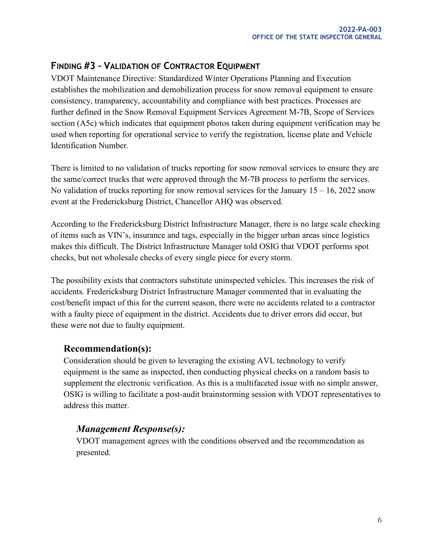#### <span id="page-9-0"></span>**FINDING #3 – VALIDATION OF CONTRACTOR EQUIPMENT**

VDOT Maintenance Directive: Standardized Winter Operations Planning and Execution establishes the mobilization and demobilization process for snow removal equipment to ensure consistency, transparency, accountability and compliance with best practices. Processes are further defined in the Snow Removal Equipment Services Agreement M-7B, Scope of Services section (A5c) which indicates that equipment photos taken during equipment verification may be used when reporting for operational service to verify the registration, license plate and Vehicle Identification Number.

There is limited to no validation of trucks reporting for snow removal services to ensure they are the same/correct trucks that were approved through the M-7B process to perform the services. No validation of trucks reporting for snow removal services for the January  $15 - 16$ , 2022 snow event at the Fredericksburg District, Chancellor AHQ was observed.

According to the Fredericksburg District Infrastructure Manager, there is no large scale checking of items such as VIN's, insurance and tags, especially in the bigger urban areas since logistics makes this difficult. The District Infrastructure Manager told OSIG that VDOT performs spot checks, but not wholesale checks of every single piece for every storm.

The possibility exists that contractors substitute uninspected vehicles. This increases the risk of accidents. Fredericksburg District Infrastructure Manager commented that in evaluating the cost/benefit impact of this for the current season, there were no accidents related to a contractor with a faulty piece of equipment in the district. Accidents due to driver errors did occur, but these were not due to faulty equipment.

#### **Recommendation(s):**

Consideration should be given to leveraging the existing AVL technology to verify equipment is the same as inspected, then conducting physical checks on a random basis to supplement the electronic verification. As this is a multifaceted issue with no simple answer, OSIG is willing to facilitate a post-audit brainstorming session with VDOT representatives to address this matter.

#### *Management Response(s):*

VDOT management agrees with the conditions observed and the recommendation as presented.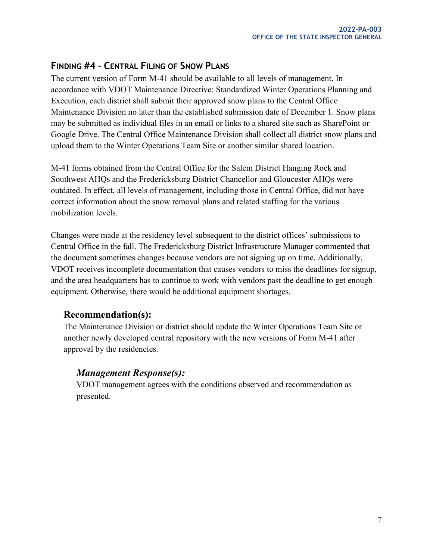#### <span id="page-10-0"></span>**FINDING #4 – CENTRAL FILING OF SNOW PLANS**

The current version of Form M-41 should be available to all levels of management. In accordance with VDOT Maintenance Directive: Standardized Winter Operations Planning and Execution, each district shall submit their approved snow plans to the Central Office Maintenance Division no later than the established submission date of December 1. Snow plans may be submitted as individual files in an email or links to a shared site such as SharePoint or Google Drive. The Central Office Maintenance Division shall collect all district snow plans and upload them to the Winter Operations Team Site or another similar shared location.

M-41 forms obtained from the Central Office for the Salem District Hanging Rock and Southwest AHQs and the Fredericksburg District Chancellor and Gloucester AHQs were outdated. In effect, all levels of management, including those in Central Office, did not have correct information about the snow removal plans and related staffing for the various mobilization levels.

Changes were made at the residency level subsequent to the district offices' submissions to Central Office in the fall. The Fredericksburg District Infrastructure Manager commented that the document sometimes changes because vendors are not signing up on time. Additionally, VDOT receives incomplete documentation that causes vendors to miss the deadlines for signup, and the area headquarters has to continue to work with vendors past the deadline to get enough equipment. Otherwise, there would be additional equipment shortages.

#### **Recommendation(s):**

The Maintenance Division or district should update the Winter Operations Team Site or another newly developed central repository with the new versions of Form M-41 after approval by the residencies.

#### *Management Response(s):*

VDOT management agrees with the conditions observed and recommendation as presented.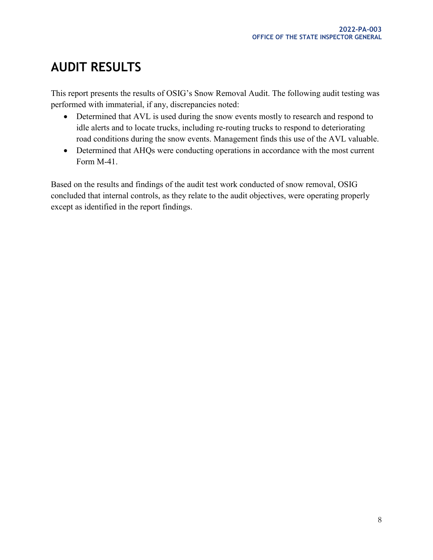# <span id="page-11-0"></span>**AUDIT RESULTS**

This report presents the results of OSIG's Snow Removal Audit. The following audit testing was performed with immaterial, if any, discrepancies noted:

- Determined that AVL is used during the snow events mostly to research and respond to idle alerts and to locate trucks, including re-routing trucks to respond to deteriorating road conditions during the snow events. Management finds this use of the AVL valuable.
- Determined that AHQs were conducting operations in accordance with the most current Form M-41.

Based on the results and findings of the audit test work conducted of snow removal, OSIG concluded that internal controls, as they relate to the audit objectives, were operating properly except as identified in the report findings.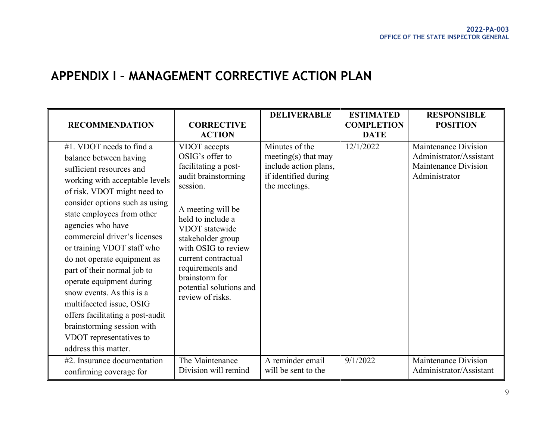### **APPENDIX I – MANAGEMENT CORRECTIVE ACTION PLAN**

<span id="page-12-0"></span>

| <b>RECOMMENDATION</b>                                                                                                                                                                                                                                                                                                                                                                                                                                                                                                                                                      | <b>CORRECTIVE</b><br><b>ACTION</b>                                                                                                                                                                                                                                                                             | <b>DELIVERABLE</b>                                                                                      | <b>ESTIMATED</b><br><b>COMPLETION</b><br><b>DATE</b> | <b>RESPONSIBLE</b><br><b>POSITION</b>                                                    |
|----------------------------------------------------------------------------------------------------------------------------------------------------------------------------------------------------------------------------------------------------------------------------------------------------------------------------------------------------------------------------------------------------------------------------------------------------------------------------------------------------------------------------------------------------------------------------|----------------------------------------------------------------------------------------------------------------------------------------------------------------------------------------------------------------------------------------------------------------------------------------------------------------|---------------------------------------------------------------------------------------------------------|------------------------------------------------------|------------------------------------------------------------------------------------------|
| #1. VDOT needs to find a<br>balance between having<br>sufficient resources and<br>working with acceptable levels<br>of risk. VDOT might need to<br>consider options such as using<br>state employees from other<br>agencies who have<br>commercial driver's licenses<br>or training VDOT staff who<br>do not operate equipment as<br>part of their normal job to<br>operate equipment during<br>snow events. As this is a<br>multifaceted issue, OSIG<br>offers facilitating a post-audit<br>brainstorming session with<br>VDOT representatives to<br>address this matter. | VDOT accepts<br>OSIG's offer to<br>facilitating a post-<br>audit brainstorming<br>session.<br>A meeting will be<br>held to include a<br>VDOT statewide<br>stakeholder group<br>with OSIG to review<br>current contractual<br>requirements and<br>brainstorm for<br>potential solutions and<br>review of risks. | Minutes of the<br>meeting(s) that may<br>include action plans,<br>if identified during<br>the meetings. | 12/1/2022                                            | Maintenance Division<br>Administrator/Assistant<br>Maintenance Division<br>Administrator |
| #2. Insurance documentation<br>confirming coverage for                                                                                                                                                                                                                                                                                                                                                                                                                                                                                                                     | The Maintenance<br>Division will remind                                                                                                                                                                                                                                                                        | A reminder email<br>will be sent to the                                                                 | 9/1/2022                                             | Maintenance Division<br>Administrator/Assistant                                          |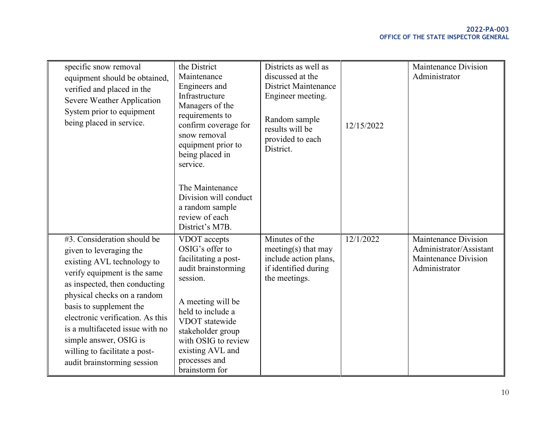| specific snow removal<br>equipment should be obtained,<br>verified and placed in the<br>Severe Weather Application<br>System prior to equipment<br>being placed in service.                                                                                                                                                                                                      | the District<br>Maintenance<br>Engineers and<br>Infrastructure<br>Managers of the<br>requirements to<br>confirm coverage for<br>snow removal<br>equipment prior to<br>being placed in<br>service.<br>The Maintenance<br>Division will conduct<br>a random sample<br>review of each<br>District's M7B. | Districts as well as<br>discussed at the<br><b>District Maintenance</b><br>Engineer meeting.<br>Random sample<br>results will be<br>provided to each<br>District. | 12/15/2022 | Maintenance Division<br>Administrator                                                    |
|----------------------------------------------------------------------------------------------------------------------------------------------------------------------------------------------------------------------------------------------------------------------------------------------------------------------------------------------------------------------------------|-------------------------------------------------------------------------------------------------------------------------------------------------------------------------------------------------------------------------------------------------------------------------------------------------------|-------------------------------------------------------------------------------------------------------------------------------------------------------------------|------------|------------------------------------------------------------------------------------------|
| #3. Consideration should be<br>given to leveraging the<br>existing AVL technology to<br>verify equipment is the same<br>as inspected, then conducting<br>physical checks on a random<br>basis to supplement the<br>electronic verification. As this<br>is a multifaceted issue with no<br>simple answer, OSIG is<br>willing to facilitate a post-<br>audit brainstorming session | VDOT accepts<br>OSIG's offer to<br>facilitating a post-<br>audit brainstorming<br>session.<br>A meeting will be<br>held to include a<br>VDOT statewide<br>stakeholder group<br>with OSIG to review<br>existing AVL and<br>processes and<br>brainstorm for                                             | Minutes of the<br>meeting(s) that may<br>include action plans,<br>if identified during<br>the meetings.                                                           | 12/1/2022  | Maintenance Division<br>Administrator/Assistant<br>Maintenance Division<br>Administrator |